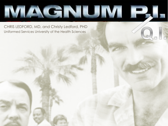

CHRIS LEDFORD, MD, and Christy Ledford, PHD Uniformed Services University of the Health Sciences

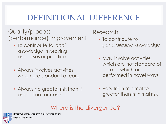## DEFINITIONAL DIFFERENCE

Quality/process (performance) improvement

- To contribute to *local* knowledge improving processes or practice
- Always involves activities which are standard of care
- Always no greater risk than if project not occurring

### Research

- To contribute to *generalizable* knowledge
- May involve activities which are not standard of care or which are performed in novel ways
- Vary from minimal to greater than minimal risk

## Where is the divergence?

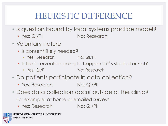## HEURISTIC DIFFERENCE

- Is question bound by local systems practice model?
	- Yes: QI/PI No: Research
- Voluntary nature
	- Is consent likely needed?
		- Yes: Research No: QI/PI
	- Is the intervention going to happen if it's studied or not?
		- Yes: QI/PI No: Research
- Do patients participate in data collection?
	- Yes: Research No: QI/PI
- Does data collection occur outside of the clinic? For example, at home or emailed surveys
	- Yes: Research No: QI/PI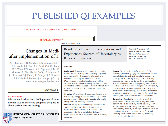## PUBLISHED OI EXAMPLES

#### The NEW ENGLAND JOURNAL of MEDICINE

**SPECIAL ARTICLE** 

### Changes in Medi after Implementation of a

A.J. Starmer, N.D. Spector, R. Srivastava, D.C. E.L. Noble, L.L. Tse, A.K. Dalal, C.A. Keohan M.F. Wien, C.S. Yoon, K.R. Zigmont, K.M. W M. Aylor, Z. Bismilla, M. Coffey, S. Mahant, I J.L. Everhart, S.J. Patel, J.F. Bale, Jr., J.B. Spackr F.S. Cole, D.F. Balmer, J.H. Hepps, J.O. Lo and C.P. Landrigan, for the I-PA

#### **ABSTRACT**

#### **BACKGROUND**

Miscommunications are a leading cause of serio ticenter studies assessing programs designed to about patient care are lacking.

**UNIFORMED SERVICES UNIVERSIT** of the Health Sciences

ORIGINAL RESEARCH

Resident Scholarship Expectations and Experiences: Sources of Uncertainty as Barriers to Success

CHRISTY J. W. LEDFORD, PHD DEAN A. SEEHUSEN, MD, MPH MELINDA M. VILLAGRAN, PHD LAUREN A. CAFFERTY, BA **MARC A. CHILDRESS, MD** 

#### **Abstract**

Background Scholarly activity during residency is vital to resident learning and ultimately to patient care. Incorporating that activity into training is, however, a challenge for medical educators. Most research on medical student and resident attitudes toward scholarly activity to date has been quantitative and has focused on level of interest, desire to perform scholarship, and perceived importance of scholarship.

Objective We explored attitudes, expectations, and barriers regarding participation in scholarly activity among current residents and graduates of a single family medicine residency program.

Methods Using a phenomenologic approach, we systematically analyzed data from one-on-one, semistructured interviews with residents and graduates. Interviews included participant expectations and experiences with scholarly activity in residency.

Results The 20 participants (residents, 15 [75%]; residency graduates, 5 [25%]) identified uncertainty in their attitudes toward, and expectations regarding, participation in scholarly activity as an overarching theme, which may present a barrier to participation. Themes included uncertainty regarding their personal identity as a clinician, time to complete scholarly activity, how to establish a mentor-mentee relationship, the social norms of scholarship, what counted toward the scholarship requirements, the protocol for completing projects, and the clinical relevance of scholarship.

**Condusions** Uncertainty about scholarly activity expectations can add to learner anxiety and make performing scholarly activity during residency seem like an insurmountable task. Programs should consider implementing a variety of strategies to foster scholarly activity during residency, including clarifying and codifying expectations and facilitating mentoring relationships with faculty.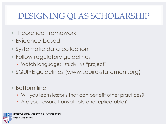## DESIGNING QI AS SCHOLARSHIP

- Theoretical framework
- Evidence-based
- Systematic data collection
- Follow regulatory guidelines
	- Watch language: "study" vs "project"
- SQUIRE guidelines (www.squire-statement.org)
- Bottom line
	- Will you learn lessons that can benefit other practices?
	- Are your lessons translatable and replicatable?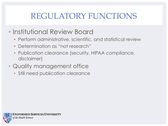# REGULATORY FUNCTIONS

- Institutional Review Board
	- Perform administrative, scientific, and statistical review
	- Determination as "not research"
	- Publication clearance (security, HIPAA compliance, disclaimer)
- Quality management office
	- Still need publication clearance

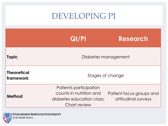## DEVELOPING PI

|                                        | $Q$ $ $ /P $ $                                                                                 | Research                                        |
|----------------------------------------|------------------------------------------------------------------------------------------------|-------------------------------------------------|
| <b>Topic</b>                           | Diabetes management                                                                            |                                                 |
| <b>Theoretical</b><br><b>framework</b> | Stages of change                                                                               |                                                 |
| Method                                 | Patients participation<br>counts in nutrition and<br>diabetes education class;<br>Chart review | Patient focus groups and<br>attitudinal surveys |

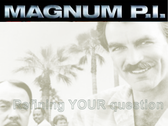# MAGNUMP.

# Refining YOUR question